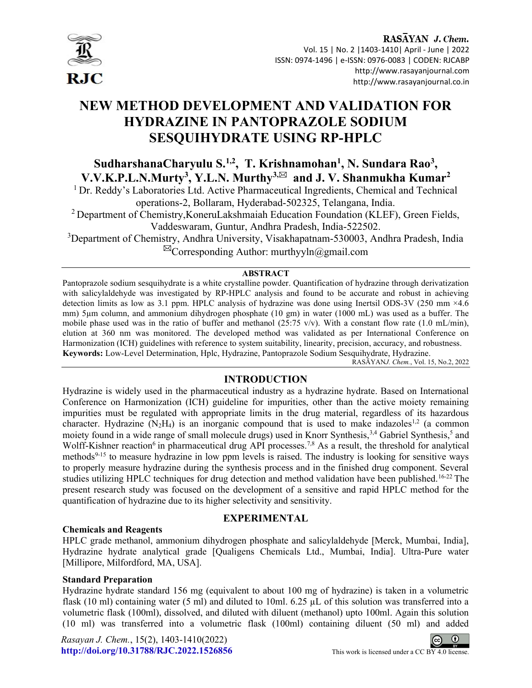

# NEW METHOD DEVELOPMENT AND VALIDATION FOR HYDRAZINE IN PANTOPRAZOLE SODIUM SESQUIHYDRATE USING RP-HPLC

SudharshanaCharyulu S.<sup>1,2</sup>, T. Krishnamohan<sup>1</sup>, N. Sundara Rao<sup>3</sup>, V.V.K.P.L.N.Murty<sup>3</sup>, Y.L.N. Murthy<sup>3, $\boxtimes$ </sup> and J.V. Shanmukha Kumar<sup>2</sup>

<sup>1</sup> Dr. Reddy's Laboratories Ltd. Active Pharmaceutical Ingredients, Chemical and Technical operations-2, Bollaram, Hyderabad-502325, Telangana, India.

<sup>2</sup> Department of Chemistry, KoneruLakshmaiah Education Foundation (KLEF), Green Fields, Vaddeswaram, Guntur, Andhra Pradesh, India-522502.

<sup>3</sup>Department of Chemistry, Andhra University, Visakhapatnam-530003, Andhra Pradesh, India

 $\boxtimes$ Corresponding Author: murthyyln@gmail.com

# ABSTRACT

Pantoprazole sodium sesquihydrate is a white crystalline powder. Quantification of hydrazine through derivatization with salicylaldehyde was investigated by RP-HPLC analysis and found to be accurate and robust in achieving detection limits as low as 3.1 ppm. HPLC analysis of hydrazine was done using Inertsil ODS-3V (250 mm ×4.6 mm) 5µm column, and ammonium dihydrogen phosphate (10 gm) in water (1000 mL) was used as a buffer. The mobile phase used was in the ratio of buffer and methanol (25:75 v/v). With a constant flow rate (1.0 mL/min), elution at 360 nm was monitored. The developed method was validated as per International Conference on Harmonization (ICH) guidelines with reference to system suitability, linearity, precision, accuracy, and robustness. Keywords: Low-Level Determination, Hplc, Hydrazine, Pantoprazole Sodium Sesquihydrate, Hydrazine.

RASĀYANJ. Chem., Vol. 15, No.2, 2022

# INTRODUCTION

Hydrazine is widely used in the pharmaceutical industry as a hydrazine hydrate. Based on International Conference on Harmonization (ICH) guideline for impurities, other than the active moiety remaining impurities must be regulated with appropriate limits in the drug material, regardless of its hazardous character. Hydrazine  $(N_2H_4)$  is an inorganic compound that is used to make indazoles<sup>1,2</sup> (a common moiety found in a wide range of small molecule drugs) used in Knorr Synthesis,<sup>3,4</sup> Gabriel Synthesis,<sup>5</sup> and Wolff-Kishner reaction<sup>6</sup> in pharmaceutical drug API processes.<sup>7,8</sup> As a result, the threshold for analytical methods<sup>9-15</sup> to measure hydrazine in low ppm levels is raised. The industry is looking for sensitive ways to properly measure hydrazine during the synthesis process and in the finished drug component. Several studies utilizing HPLC techniques for drug detection and method validation have been published.<sup>16-22</sup> The present research study was focused on the development of a sensitive and rapid HPLC method for the quantification of hydrazine due to its higher selectivity and sensitivity.

# Chemicals and Reagents

# EXPERIMENTAL

HPLC grade methanol, ammonium dihydrogen phosphate and salicylaldehyde [Merck, Mumbai, India], Hydrazine hydrate analytical grade [Qualigens Chemicals Ltd., Mumbai, India]. Ultra-Pure water [Millipore, Milfordford, MA, USA].

# Standard Preparation

Hydrazine hydrate standard 156 mg (equivalent to about 100 mg of hydrazine) is taken in a volumetric flask (10 ml) containing water (5 ml) and diluted to 10ml. 6.25  $\mu$ L of this solution was transferred into a volumetric flask (100ml), dissolved, and diluted with diluent (methanol) upto 100ml. Again this solution (10 ml) was transferred into a volumetric flask (100ml) containing diluent (50 ml) and added

Rasayan J. Chem., 15(2), 1403-1410(2022) http://doi.org/10.31788/RJC.2022.1526856 This work is licensed under a CC BY 4.0 license.

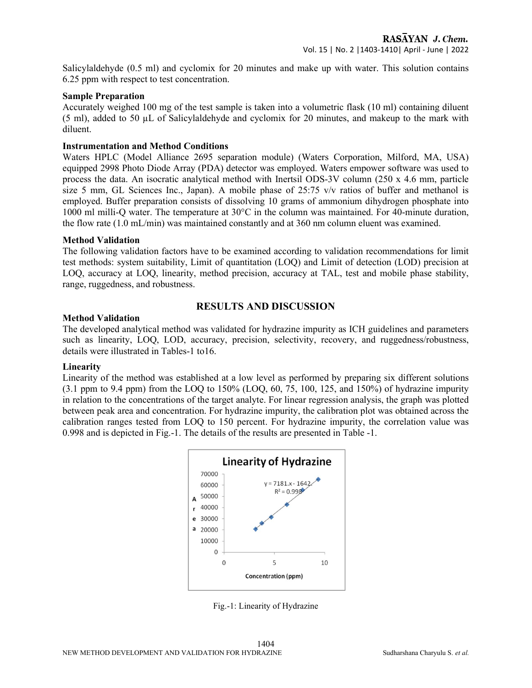Salicylaldehyde (0.5 ml) and cyclomix for 20 minutes and make up with water. This solution contains 6.25 ppm with respect to test concentration.

## Sample Preparation

Accurately weighed 100 mg of the test sample is taken into a volumetric flask (10 ml) containing diluent  $(5 \text{ ml})$ , added to  $50 \mu L$  of Salicylaldehyde and cyclomix for 20 minutes, and makeup to the mark with diluent.

## Instrumentation and Method Conditions

Waters HPLC (Model Alliance 2695 separation module) (Waters Corporation, Milford, MA, USA) equipped 2998 Photo Diode Array (PDA) detector was employed. Waters empower software was used to process the data. An isocratic analytical method with Inertsil ODS-3V column (250 x 4.6 mm, particle size 5 mm, GL Sciences Inc., Japan). A mobile phase of 25:75 v/v ratios of buffer and methanol is employed. Buffer preparation consists of dissolving 10 grams of ammonium dihydrogen phosphate into 1000 ml milli-Q water. The temperature at 30°C in the column was maintained. For 40-minute duration, the flow rate (1.0 mL/min) was maintained constantly and at 360 nm column eluent was examined.

## Method Validation

The following validation factors have to be examined according to validation recommendations for limit test methods: system suitability, Limit of quantitation (LOQ) and Limit of detection (LOD) precision at LOQ, accuracy at LOQ, linearity, method precision, accuracy at TAL, test and mobile phase stability, range, ruggedness, and robustness.

# RESULTS AND DISCUSSION

## Method Validation

The developed analytical method was validated for hydrazine impurity as ICH guidelines and parameters such as linearity, LOQ, LOD, accuracy, precision, selectivity, recovery, and ruggedness/robustness, details were illustrated in Tables-1 to16.

# Linearity

Linearity of the method was established at a low level as performed by preparing six different solutions  $(3.1 \text{ ppm to } 9.4 \text{ ppm})$  from the LOQ to 150% (LOQ, 60, 75, 100, 125, and 150%) of hydrazine impurity in relation to the concentrations of the target analyte. For linear regression analysis, the graph was plotted between peak area and concentration. For hydrazine impurity, the calibration plot was obtained across the calibration ranges tested from LOQ to 150 percent. For hydrazine impurity, the correlation value was 0.998 and is depicted in Fig.-1. The details of the results are presented in Table -1.



Fig.-1: Linearity of Hydrazine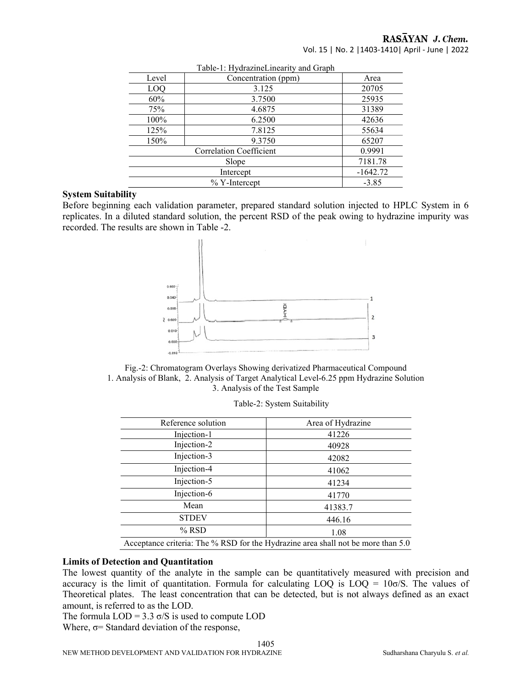# RASAYAN J. Chem.

Vol. 15 | No. 2 |1403-1410| April - June | 2022

|                                   | Table-1. Hydiazhiel meanty and Graph |       |  |  |  |
|-----------------------------------|--------------------------------------|-------|--|--|--|
| Level                             | Concentration (ppm)                  | Area  |  |  |  |
| LOQ                               | 3.125                                | 20705 |  |  |  |
| 60%                               | 3.7500                               | 25935 |  |  |  |
| 75%                               | 4.6875                               | 31389 |  |  |  |
| 100%                              | 6.2500                               | 42636 |  |  |  |
| 125%                              | 7.8125                               | 55634 |  |  |  |
| 150%                              | 9.3750                               | 65207 |  |  |  |
| Correlation Coefficient<br>0.9991 |                                      |       |  |  |  |
| 7181.78<br>Slope                  |                                      |       |  |  |  |
|                                   | $-1642.72$<br>Intercept              |       |  |  |  |
|                                   | $\%$ Y-Intercept<br>$-3.85$          |       |  |  |  |

#### Table-1: HydrazineLinearity and Graph

### System Suitability

Before beginning each validation parameter, prepared standard solution injected to HPLC System in 6 replicates. In a diluted standard solution, the percent RSD of the peak owing to hydrazine impurity was recorded. The results are shown in Table -2.





| Reference solution                                                               | Area of Hydrazine |  |
|----------------------------------------------------------------------------------|-------------------|--|
| Injection-1                                                                      | 41226             |  |
| Injection-2                                                                      | 40928             |  |
| Injection-3                                                                      | 42082             |  |
| Injection-4                                                                      | 41062             |  |
| Injection-5                                                                      | 41234             |  |
| Injection-6                                                                      | 41770             |  |
| Mean                                                                             | 41383.7           |  |
| <b>STDEV</b>                                                                     | 446.16            |  |
| $%$ RSD                                                                          | 1.08              |  |
| Acceptance criteria: The % RSD for the Hydrazine area shall not be more than 5.0 |                   |  |

## Limits of Detection and Quantitation

The lowest quantity of the analyte in the sample can be quantitatively measured with precision and accuracy is the limit of quantitation. Formula for calculating LOQ is  $LOQ = 10\sigma/S$ . The values of Theoretical plates. The least concentration that can be detected, but is not always defined as an exact amount, is referred to as the LOD.

The formula  $LOD = 3.3 \sigma/S$  is used to compute  $LOD$ Where,  $\sigma$ = Standard deviation of the response,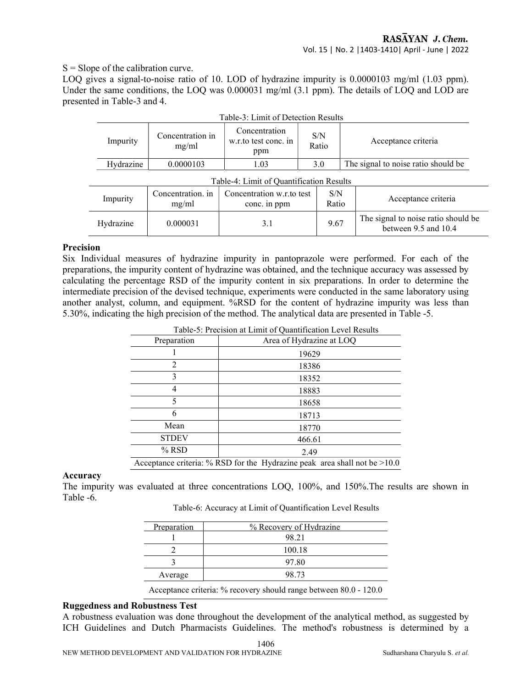$S =$ Slope of the calibration curve.

LOQ gives a signal-to-noise ratio of 10. LOD of hydrazine impurity is 0.0000103 mg/ml (1.03 ppm). Under the same conditions, the LOQ was 0.000031 mg/ml (3.1 ppm). The details of LOQ and LOD are presented in Table-3 and 4.

| Table-3: Limit of Detection Results      |                            |                                                              |  |                                     |                     |                                                                 |
|------------------------------------------|----------------------------|--------------------------------------------------------------|--|-------------------------------------|---------------------|-----------------------------------------------------------------|
| Impurity                                 | Concentration in<br>mg/ml  | Concentration<br>S/N<br>w.r.to test conc. in<br>Ratio<br>ppm |  |                                     | Acceptance criteria |                                                                 |
| Hydrazine                                | 0.0000103                  | 3.0<br>1.03                                                  |  | The signal to noise ratio should be |                     |                                                                 |
| Table-4: Limit of Quantification Results |                            |                                                              |  |                                     |                     |                                                                 |
| Impurity                                 | Concentration, in<br>mg/ml | Concentration w.r.to test<br>S/N<br>Ratio<br>conc. in ppm    |  |                                     | Acceptance criteria |                                                                 |
| Hydrazine                                | 0.000031                   | 3.1                                                          |  | 9.67                                |                     | The signal to noise ratio should be<br>between $9.5$ and $10.4$ |

# $T_{\text{max}}$   $\frac{1}{2}$   $\frac{1}{2}$   $\frac{1}{2}$   $\frac{1}{2}$   $\frac{1}{2}$   $\frac{1}{2}$   $\frac{1}{2}$   $\frac{1}{2}$   $\frac{1}{2}$   $\frac{1}{2}$   $\frac{1}{2}$   $\frac{1}{2}$   $\frac{1}{2}$   $\frac{1}{2}$   $\frac{1}{2}$   $\frac{1}{2}$   $\frac{1}{2}$   $\frac{1}{2}$   $\frac{1}{2}$   $\frac{1}{2}$   $\frac{1}{2}$

## Precision

Six Individual measures of hydrazine impurity in pantoprazole were performed. For each of the preparations, the impurity content of hydrazine was obtained, and the technique accuracy was assessed by calculating the percentage RSD of the impurity content in six preparations. In order to determine the intermediate precision of the devised technique, experiments were conducted in the same laboratory using another analyst, column, and equipment. %RSD for the content of hydrazine impurity was less than 5.30%, indicating the high precision of the method. The analytical data are presented in Table -5.

| Table-5: Precision at Limit of Quantification Level Results               |                          |  |  |
|---------------------------------------------------------------------------|--------------------------|--|--|
| Preparation                                                               | Area of Hydrazine at LOQ |  |  |
|                                                                           | 19629                    |  |  |
| 2                                                                         | 18386                    |  |  |
| 3                                                                         | 18352                    |  |  |
|                                                                           | 18883                    |  |  |
| 5                                                                         | 18658                    |  |  |
| 6                                                                         | 18713                    |  |  |
| Mean                                                                      | 18770                    |  |  |
| <b>STDEV</b>                                                              | 466.61                   |  |  |
| $%$ RSD                                                                   | 2.49                     |  |  |
| Acceptance criteria: % RSD for the Hydrazine peak area shall not be >10.0 |                          |  |  |

 $T$  11  $\epsilon$  p  $T$  . The Limit of  $\epsilon$  at Limit of  $\epsilon$  at Limit of  $\epsilon$ 

## Accuracy

The impurity was evaluated at three concentrations LOQ, 100%, and 150%.The results are shown in Table -6.

Table-6: Accuracy at Limit of Quantification Level Results

| Preparation | % Recovery of Hydrazine |
|-------------|-------------------------|
|             | 98.21                   |
|             | 100.18                  |
|             | 97.80                   |
| Average     | 98.73                   |
|             |                         |

Acceptance criteria: % recovery should range between 80.0 - 120.0

# Ruggedness and Robustness Test

A robustness evaluation was done throughout the development of the analytical method, as suggested by ICH Guidelines and Dutch Pharmacists Guidelines. The method's robustness is determined by a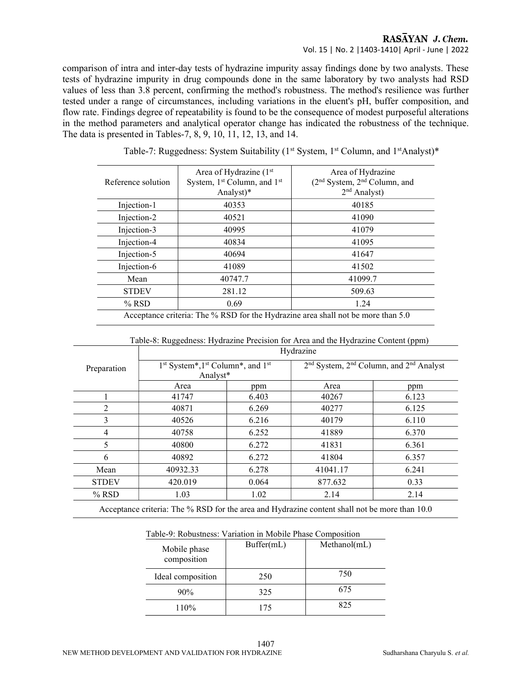# RASAYAN J. Chem. Vol. 15 | No. 2 |1403-1410| April - June | 2022

comparison of intra and inter-day tests of hydrazine impurity assay findings done by two analysts. These tests of hydrazine impurity in drug compounds done in the same laboratory by two analysts had RSD values of less than 3.8 percent, confirming the method's robustness. The method's resilience was further tested under a range of circumstances, including variations in the eluent's pH, buffer composition, and flow rate. Findings degree of repeatability is found to be the consequence of modest purposeful alterations in the method parameters and analytical operator change has indicated the robustness of the technique. The data is presented in Tables-7, 8, 9, 10, 11, 12, 13, and 14.

| Reference solution                                                                                    | Area of Hydrazine (1st<br>System, 1 <sup>st</sup> Column, and 1 <sup>st</sup><br>Analyst)* | Area of Hydrazine<br>(2 <sup>nd</sup> System, 2 <sup>nd</sup> Column, and<br>$2nd$ Analyst) |  |
|-------------------------------------------------------------------------------------------------------|--------------------------------------------------------------------------------------------|---------------------------------------------------------------------------------------------|--|
| Injection-1                                                                                           | 40353                                                                                      | 40185                                                                                       |  |
| Injection-2                                                                                           | 40521                                                                                      | 41090                                                                                       |  |
| Injection-3                                                                                           | 40995                                                                                      | 41079                                                                                       |  |
| Injection-4                                                                                           | 40834                                                                                      | 41095                                                                                       |  |
| Injection-5                                                                                           | 40694                                                                                      | 41647                                                                                       |  |
| Injection-6                                                                                           | 41089                                                                                      | 41502                                                                                       |  |
| Mean                                                                                                  | 40747.7                                                                                    | 41099.7                                                                                     |  |
| <b>STDEV</b>                                                                                          | 281.12                                                                                     | 509.63                                                                                      |  |
| $%$ RSD                                                                                               | 0.69                                                                                       | 1.24                                                                                        |  |
| $\Lambda$ coeptance criteria: The $\frac{0}{2}$ DSD for the Hydrogine area shall not be more than 5.0 |                                                                                            |                                                                                             |  |

Table-7: Ruggedness: System Suitability (1<sup>st</sup> System, 1<sup>st</sup> Column, and 1<sup>st</sup>Analyst)\*

| Acceptance criteria: The % RSD for the Hydrazine area shall not be more than 5.0 |  |
|----------------------------------------------------------------------------------|--|
|----------------------------------------------------------------------------------|--|

Table-8: Ruggedness: Hydrazine Precision for Area and the Hydrazine Content (ppm)

|              | Hydrazine                                                                        |       |                                                                             |       |  |
|--------------|----------------------------------------------------------------------------------|-------|-----------------------------------------------------------------------------|-------|--|
| Preparation  | 1 <sup>st</sup> System*,1 <sup>st</sup> Column*, and 1 <sup>st</sup><br>Analyst* |       | 2 <sup>nd</sup> System, 2 <sup>nd</sup> Column, and 2 <sup>nd</sup> Analyst |       |  |
|              | Area                                                                             | ppm   | Area                                                                        | ppm   |  |
|              | 41747                                                                            | 6.403 | 40267                                                                       | 6.123 |  |
| 2            | 40871                                                                            | 6.269 | 40277                                                                       | 6.125 |  |
| 3            | 40526                                                                            | 6.216 | 40179                                                                       | 6.110 |  |
| 4            | 40758                                                                            | 6.252 | 41889                                                                       | 6.370 |  |
| 5            | 40800                                                                            | 6.272 | 41831                                                                       | 6.361 |  |
| 6            | 40892                                                                            | 6.272 | 41804                                                                       | 6.357 |  |
| Mean         | 40932.33                                                                         | 6.278 | 41041.17                                                                    | 6.241 |  |
| <b>STDEV</b> | 420.019                                                                          | 0.064 | 877.632                                                                     | 0.33  |  |
| $%$ RSD      | 1.03                                                                             | 1.02  | 2.14                                                                        | 2.14  |  |

Acceptance criteria: The % RSD for the area and Hydrazine content shall not be more than 10.0

| Table-9. Robustiless. Variation in Nibblic Filase Composition |            |            |  |  |
|---------------------------------------------------------------|------------|------------|--|--|
| Mobile phase<br>composition                                   | Buffer(mL) | Method(mL) |  |  |
| Ideal composition                                             | 250        | 750        |  |  |
| 90%                                                           | 325        | 675        |  |  |
| 110%                                                          | 175        | 825        |  |  |

Table-9: Robustness: Variation in Mobile Phase Composition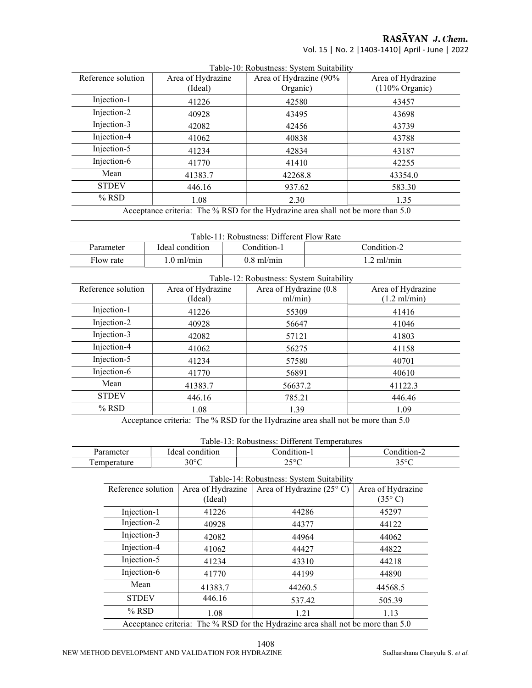RASĀYAN J. Chem.

Vol. 15 | No. 2 |1403-1410| April - June | 2022

|                    |                                                                                                 | Table-TV. Robustness. System Suitability |                           |  |
|--------------------|-------------------------------------------------------------------------------------------------|------------------------------------------|---------------------------|--|
| Reference solution | Area of Hydrazine                                                                               | Area of Hydrazine (90%                   | Area of Hydrazine         |  |
|                    | (Ideal)                                                                                         | Organic)                                 | $(110\% \text{ Organic})$ |  |
| Injection-1        | 41226                                                                                           | 42580                                    | 43457                     |  |
| Injection-2        | 40928                                                                                           | 43495                                    | 43698                     |  |
| Injection-3        | 42082                                                                                           | 42456                                    | 43739                     |  |
| Injection-4        | 41062                                                                                           | 40838                                    | 43788                     |  |
| Injection-5        | 41234                                                                                           | 42834                                    | 43187                     |  |
| Injection-6        | 41770                                                                                           | 41410                                    | 42255                     |  |
| Mean               | 41383.7                                                                                         | 42268.8                                  | 43354.0                   |  |
| <b>STDEV</b>       | 446.16                                                                                          | 937.62                                   | 583.30                    |  |
| $%$ RSD            | 1.08                                                                                            | 2.30                                     | 1.35                      |  |
|                    | $\Lambda$ continuo guitaria: The $\alpha$ DCD for the Hydrozine area shall not be more than 5.0 |                                          |                           |  |

Table-10: Robustness: System Suitability

Acceptance criteria: The % RSD for the Hydrazine area shall not be more than 5.0

| Table-11: Robustness: Different Flow Rate                  |                      |              |                   |  |
|------------------------------------------------------------|----------------------|--------------|-------------------|--|
| Condition-1<br>Condition-2<br>Ideal condition<br>Parameter |                      |              |                   |  |
| Flow rate                                                  | $1.0 \text{ ml/min}$ | $0.8$ ml/min | $\cdot$ .2 ml/min |  |

| Table-12: Robustness: System Suitability                                               |                   |                         |                        |  |
|----------------------------------------------------------------------------------------|-------------------|-------------------------|------------------------|--|
| Reference solution                                                                     | Area of Hydrazine | Area of Hydrazine (0.8) | Area of Hydrazine      |  |
|                                                                                        | (Ideal)           | ml/min)                 | $(1.2 \text{ ml/min})$ |  |
| Injection-1                                                                            | 41226             | 55309                   | 41416                  |  |
| Injection-2                                                                            | 40928             | 56647                   | 41046                  |  |
| Injection-3                                                                            | 42082             | 57121                   | 41803                  |  |
| Injection-4                                                                            | 41062             | 56275                   | 41158                  |  |
| Injection-5                                                                            | 41234             | 57580                   | 40701                  |  |
| Injection-6                                                                            | 41770             | 56891                   | 40610                  |  |
| Mean                                                                                   | 41383.7           | 56637.2                 | 41122.3                |  |
| <b>STDEV</b>                                                                           | 446.16            | 785.21                  | 446.46                 |  |
| $%$ RSD                                                                                | 1.08              | 1.39                    | 1.09                   |  |
| $\Lambda$ -contracts on the decoder of DCD fractly Herbert in the decoder of $\Lambda$ |                   |                         |                        |  |

Acceptance criteria: The % RSD for the Hydrazine area shall not be more than 5.0

|  | Table-13: Robustness: Different Temperatures |
|--|----------------------------------------------|
|--|----------------------------------------------|

| Tuoto To, Roodsaloss, Dhitolohi Tollipolataros |                 |             |                         |
|------------------------------------------------|-----------------|-------------|-------------------------|
| Parameter                                      | Ideal condition | `ondition-  | ondi<br>$+1$ 0 m $\sim$ |
| emperature                                     | 30°C            | n con<br>ر_ | າ ເດ $\Gamma$<br>J J    |
|                                                |                 |             |                         |

Table-14: Robustness: System Suitability

| Reference solution                                                               | Area of Hydrazine<br>(Ideal) | Area of Hydrazine $(25^{\circ} \text{ C})$ | Area of Hydrazine<br>$(35^{\circ} \text{C})$ |
|----------------------------------------------------------------------------------|------------------------------|--------------------------------------------|----------------------------------------------|
| Injection-1                                                                      | 41226                        | 44286                                      | 45297                                        |
| Injection-2                                                                      | 40928                        | 44377                                      | 44122                                        |
| Injection-3                                                                      | 42082                        | 44964                                      | 44062                                        |
| Injection-4                                                                      | 41062                        | 44427                                      | 44822                                        |
| Injection-5                                                                      | 41234                        | 43310                                      | 44218                                        |
| Injection-6                                                                      | 41770                        | 44199                                      | 44890                                        |
| Mean                                                                             | 41383.7                      | 44260.5                                    | 44568.5                                      |
| <b>STDEV</b>                                                                     | 446.16                       | 537.42                                     | 505.39                                       |
| $%$ RSD                                                                          | 1.08                         | 1.21                                       | 1.13                                         |
| Acceptance criteria: The % RSD for the Hydrazine area shall not be more than 5.0 |                              |                                            |                                              |

 $\overline{\phantom{a}}$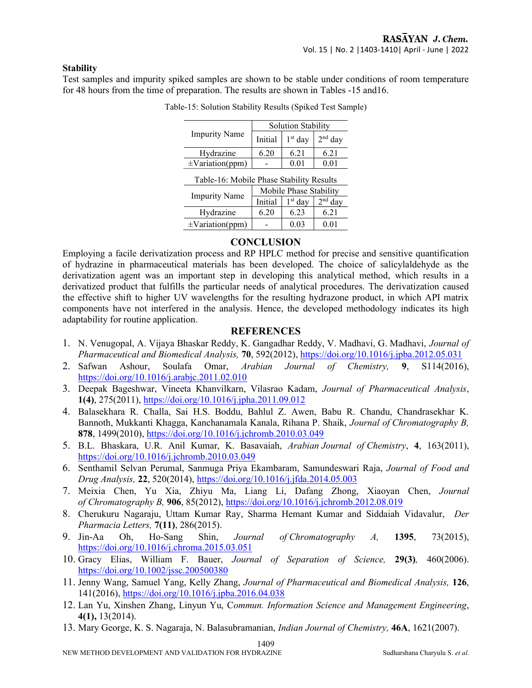## **Stability**

Test samples and impurity spiked samples are shown to be stable under conditions of room temperature for 48 hours from the time of preparation. The results are shown in Tables -15 and16.

|                                          | <b>Solution Stability</b> |           |           |  |
|------------------------------------------|---------------------------|-----------|-----------|--|
| <b>Impurity Name</b>                     | Initial                   | $1st$ day | $2nd$ day |  |
| Hydrazine                                | 6.20                      | 6.21      | 6.21      |  |
| $\pm$ Variation(ppm)                     |                           | 0.01      | 0.01      |  |
| Table-16: Mobile Phase Stability Results |                           |           |           |  |
| <b>Impurity Name</b>                     | Mobile Phase Stability    |           |           |  |
|                                          | Initial                   | $1st$ day | $2nd$ day |  |
| Hydrazine                                | 6.20                      | 6.23      | 6.21      |  |
| $\pm$ Variation(ppm)                     |                           | 0.03      | 0.01      |  |

| Table-15: Solution Stability Results (Spiked Test Sample) |  |  |
|-----------------------------------------------------------|--|--|

# **CONCLUSION**

Employing a facile derivatization process and RP HPLC method for precise and sensitive quantification of hydrazine in pharmaceutical materials has been developed. The choice of salicylaldehyde as the derivatization agent was an important step in developing this analytical method, which results in a derivatized product that fulfills the particular needs of analytical procedures. The derivatization caused the effective shift to higher UV wavelengths for the resulting hydrazone product, in which API matrix components have not interfered in the analysis. Hence, the developed methodology indicates its high adaptability for routine application.

## **REFERENCES**

- 1. N. Venugopal, A. Vijaya Bhaskar Reddy, K. Gangadhar Reddy, V. Madhavi, G. Madhavi, Journal of Pharmaceutical and Biomedical Analysis, 70, 592(2012), https://doi.org/10.1016/j.jpba.2012.05.031
- 2. Safwan Ashour, Soulafa Omar, Arabian Journal of Chemistry, 9, S114(2016), https://doi.org/10.1016/j.arabjc.2011.02.010
- 3. Deepak Bageshwar, Vineeta Khanvilkarn, Vilasrao Kadam, Journal of Pharmaceutical Analysis, 1(4), 275(2011), https://doi.org/10.1016/j.jpha.2011.09.012
- 4. Balasekhara R. Challa, Sai H.S. Boddu, Bahlul Z. Awen, Babu R. Chandu, Chandrasekhar K. Bannoth, Mukkanti Khagga, Kanchanamala Kanala, Rihana P. Shaik, Journal of Chromatography B, 878, 1499(2010), https://doi.org/10.1016/j.jchromb.2010.03.049
- 5. B.L. Bhaskara, U.R. Anil Kumar, K. Basavaiah, Arabian Journal of Chemistry, 4, 163(2011), https://doi.org/10.1016/j.jchromb.2010.03.049
- 6. Senthamil Selvan Perumal, Sanmuga Priya Ekambaram, Samundeswari Raja, Journal of Food and Drug Analysis, 22, 520(2014), https://doi.org/10.1016/j.jfda.2014.05.003
- 7. Meixia Chen, Yu Xia, Zhiyu Ma, Liang Li, Dafang Zhong, Xiaoyan Chen, Journal of Chromatography B, 906, 85(2012), https://doi.org/10.1016/j.jchromb.2012.08.019
- 8. Cherukuru Nagaraju, Uttam Kumar Ray, Sharma Hemant Kumar and Siddaiah Vidavalur, Der Pharmacia Letters, 7(11), 286(2015).
- 9. Jin-Aa Oh, Ho-Sang Shin, Journal of Chromatography A, 1395, 73(2015), https://doi.org/10.1016/j.chroma.2015.03.051
- 10. Gracy Elias, William F. Bauer, Journal of Separation of Science, 29(3), 460(2006). https://doi.org/10.1002/jssc.200500380
- 11. Jenny Wang, Samuel Yang, Kelly Zhang, Journal of Pharmaceutical and Biomedical Analysis, 126, 141(2016), https://doi.org/10.1016/j.jpba.2016.04.038
- 12. Lan Yu, Xinshen Zhang, Linyun Yu, Commun. Information Science and Management Engineering, 4(1), 13(2014).
- 13. Mary George, K. S. Nagaraja, N. Balasubramanian, Indian Journal of Chemistry, 46A, 1621(2007).